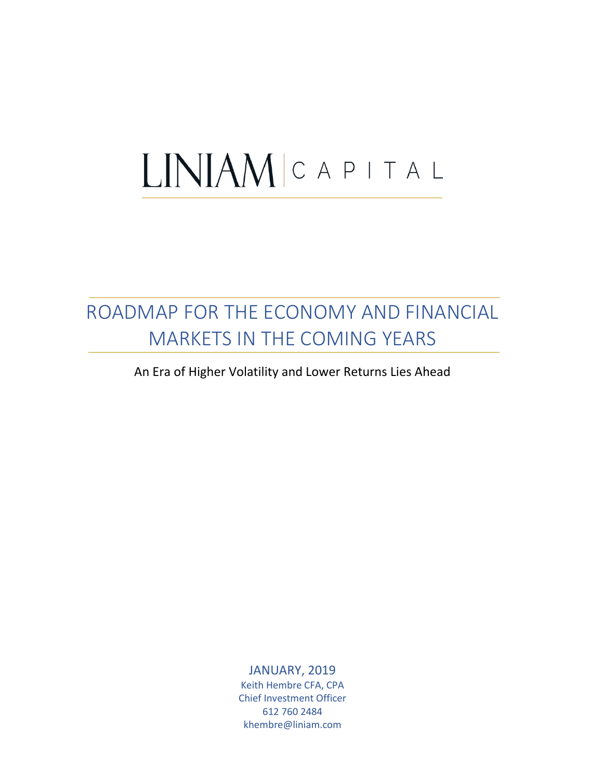# LINIAMICAPITAL

# ROADMAP FOR THE ECONOMY AND FINANCIAL MARKETS IN THE COMING YEARS

An Era of Higher Volatility and Lower Returns Lies Ahead

JANUARY, 2019 Keith Hembre CFA, CPA Chief Investment Officer 612 760 2484 khembre@liniam.com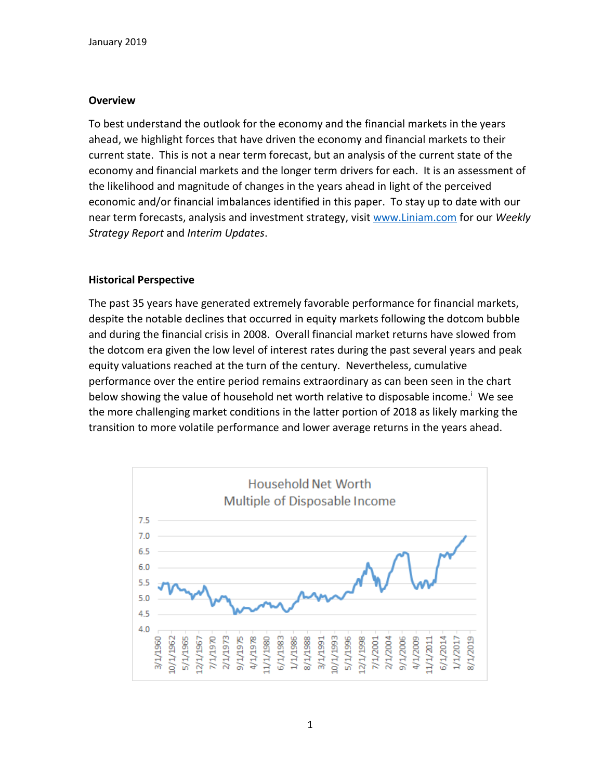## **Overview**

To best understand the outlook for the economy and the financial markets in the years ahead, we highlight forces that have driven the economy and financial markets to their current state. This is not a near term forecast, but an analysis of the current state of the economy and financial markets and the longer term drivers for each. It is an assessment of the likelihood and magnitude of changes in the years ahead in light of the perceived economic and/or financial imbalances identified in this paper. To stay up to date with our near term forecasts, analysis and investment strategy, visit [www.Liniam.com](http://www.liniam.com/) for our *Weekly Strategy Report* and *Interim Updates*.

## **Historical Perspective**

The past 35 years have generated extremely favorable performance for financial markets, despite the notable declines that occurred in equity markets following the dotcom bubble and during the financial crisis in 2008. Overall financial market returns have slowed from the dotcom era given the low level of interest rates during the past several years and peak equity valuations reached at the turn of the century. Nevertheless, cumulative performance over the entire period remains extraordinary as can been seen in the chart below showing the value of household net worth relative to disposable income.<sup>i</sup> We see the more challenging market conditions in the latter portion of 2018 as likely marking the transition to more volatile performance and lower average returns in the years ahead.

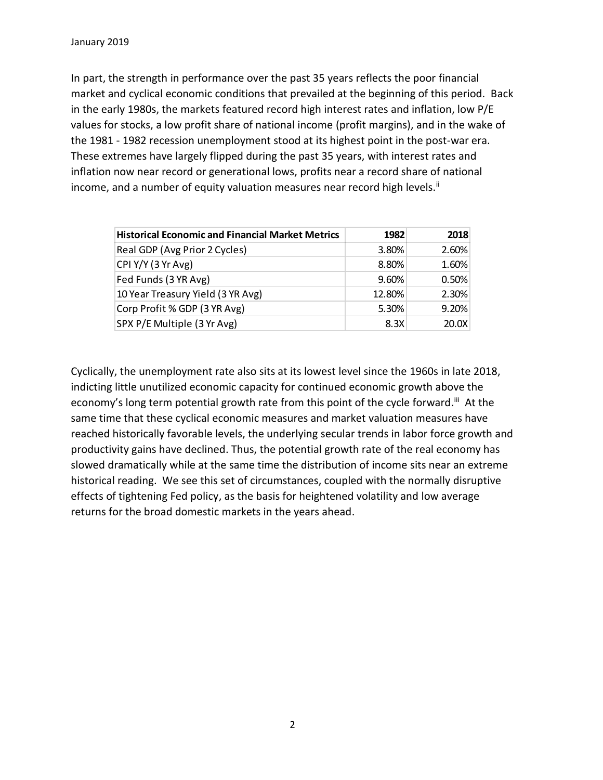In part, the strength in performance over the past 35 years reflects the poor financial market and cyclical economic conditions that prevailed at the beginning of this period. Back in the early 1980s, the markets featured record high interest rates and inflation, low P/E values for stocks, a low profit share of national income (profit margins), and in the wake of the 1981 - 1982 recession unemployment stood at its highest point in the post-war era. These extremes have largely flipped during the past 35 years, with interest rates and inflation now near record or generational lows, profits near a record share of national income, and a number of equity valuation measures near record high levels.<sup>ii</sup>

| <b>Historical Economic and Financial Market Metrics</b> | 1982   | 2018  |
|---------------------------------------------------------|--------|-------|
| Real GDP (Avg Prior 2 Cycles)                           | 3.80%  | 2.60% |
| CPI Y/Y (3 Yr Avg)                                      | 8.80%  | 1.60% |
| Fed Funds (3 YR Avg)                                    | 9.60%  | 0.50% |
| 10 Year Treasury Yield (3 YR Avg)                       | 12.80% | 2.30% |
| Corp Profit % GDP (3 YR Avg)                            | 5.30%  | 9.20% |
| SPX P/E Multiple (3 Yr Avg)                             | 8.3X   | 20.0X |

Cyclically, the unemployment rate also sits at its lowest level since the 1960s in late 2018, indicting little unutilized economic capacity for continued economic growth above the economy's long term potential growth rate from this point of the cycle forward.<sup>iii</sup> At the same time that these cyclical economic measures and market valuation measures have reached historically favorable levels, the underlying secular trends in labor force growth and productivity gains have declined. Thus, the potential growth rate of the real economy has slowed dramatically while at the same time the distribution of income sits near an extreme historical reading. We see this set of circumstances, coupled with the normally disruptive effects of tightening Fed policy, as the basis for heightened volatility and low average returns for the broad domestic markets in the years ahead.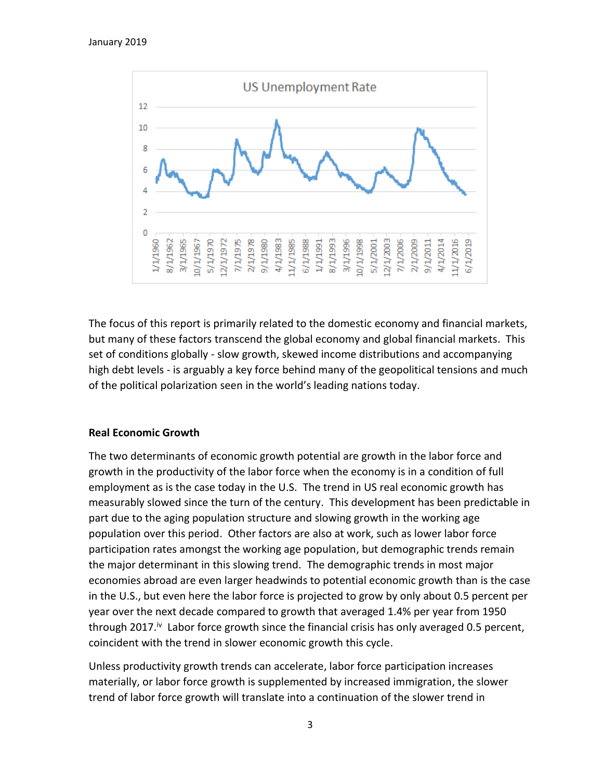

The focus of this report is primarily related to the domestic economy and financial markets, but many of these factors transcend the global economy and global financial markets. This set of conditions globally - slow growth, skewed income distributions and accompanying high debt levels - is arguably a key force behind many of the geopolitical tensions and much of the political polarization seen in the world's leading nations today.

#### **Real Economic Growth**

The two determinants of economic growth potential are growth in the labor force and growth in the productivity of the labor force when the economy is in a condition of full employment as is the case today in the U.S. The trend in US real economic growth has measurably slowed since the turn of the century. This development has been predictable in part due to the aging population structure and slowing growth in the working age population over this period. Other factors are also at work, such as lower labor force participation rates amongst the working age population, but demographic trends remain the major determinant in this slowing trend. The demographic trends in most major economies abroad are even larger headwinds to potential economic growth than is the case in the U.S., but even here the labor force is projected to grow by only about 0.5 percent per year over the next decade compared to growth that averaged 1.4% per year from 1950 through 2017.<sup>iv</sup> Labor force growth since the financial crisis has only averaged 0.5 percent, coincident with the trend in slower economic growth this cycle.

Unless productivity growth trends can accelerate, labor force participation increases materially, or labor force growth is supplemented by increased immigration, the slower trend of labor force growth will translate into a continuation of the slower trend in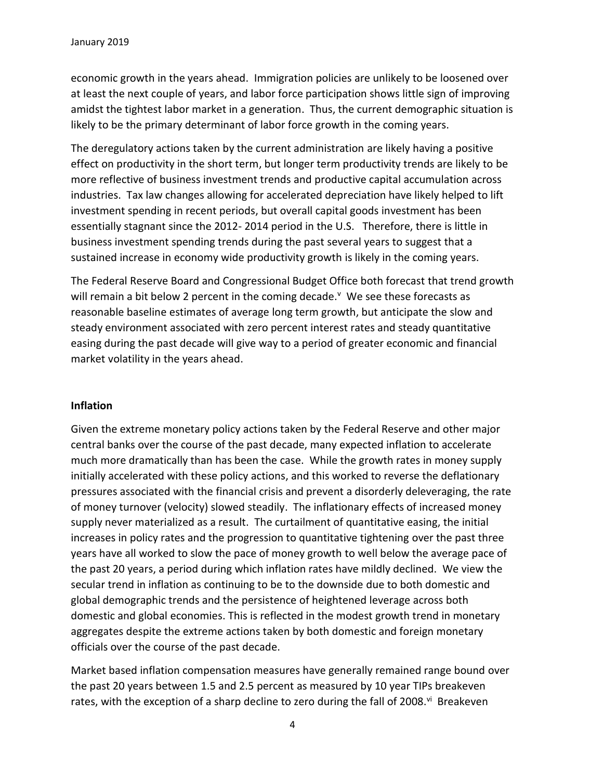economic growth in the years ahead. Immigration policies are unlikely to be loosened over at least the next couple of years, and labor force participation shows little sign of improving amidst the tightest labor market in a generation. Thus, the current demographic situation is likely to be the primary determinant of labor force growth in the coming years.

The deregulatory actions taken by the current administration are likely having a positive effect on productivity in the short term, but longer term productivity trends are likely to be more reflective of business investment trends and productive capital accumulation across industries. Tax law changes allowing for accelerated depreciation have likely helped to lift investment spending in recent periods, but overall capital goods investment has been essentially stagnant since the 2012- 2014 period in the U.S. Therefore, there is little in business investment spending trends during the past several years to suggest that a sustained increase in economy wide productivity growth is likely in the coming years.

The Federal Reserve Board and Congressional Budget Office both forecast that trend growth will remain a bit below 2 percent in the coming decade.<sup>v</sup> We see these forecasts as reasonable baseline estimates of average long term growth, but anticipate the slow and steady environment associated with zero percent interest rates and steady quantitative easing during the past decade will give way to a period of greater economic and financial market volatility in the years ahead.

#### **Inflation**

Given the extreme monetary policy actions taken by the Federal Reserve and other major central banks over the course of the past decade, many expected inflation to accelerate much more dramatically than has been the case. While the growth rates in money supply initially accelerated with these policy actions, and this worked to reverse the deflationary pressures associated with the financial crisis and prevent a disorderly deleveraging, the rate of money turnover (velocity) slowed steadily. The inflationary effects of increased money supply never materialized as a result. The curtailment of quantitative easing, the initial increases in policy rates and the progression to quantitative tightening over the past three years have all worked to slow the pace of money growth to well below the average pace of the past 20 years, a period during which inflation rates have mildly declined. We view the secular trend in inflation as continuing to be to the downside due to both domestic and global demographic trends and the persistence of heightened leverage across both domestic and global economies. This is reflected in the modest growth trend in monetary aggregates despite the extreme actions taken by both domestic and foreign monetary officials over the course of the past decade.

Market based inflation compensation measures have generally remained range bound over the past 20 years between 1.5 and 2.5 percent as measured by 10 year TIPs breakeven rates, with the exception of a sharp decline to zero during the fall of 2008.<sup>vi</sup> Breakeven

4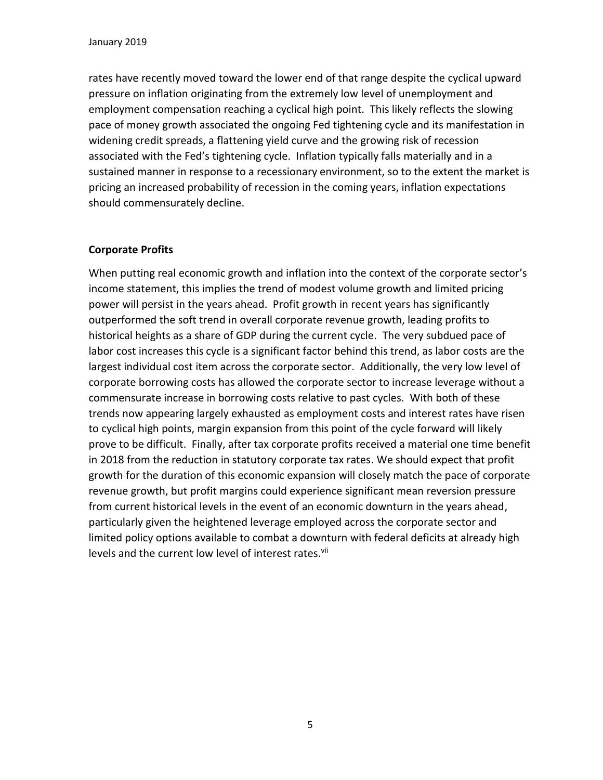rates have recently moved toward the lower end of that range despite the cyclical upward pressure on inflation originating from the extremely low level of unemployment and employment compensation reaching a cyclical high point. This likely reflects the slowing pace of money growth associated the ongoing Fed tightening cycle and its manifestation in widening credit spreads, a flattening yield curve and the growing risk of recession associated with the Fed's tightening cycle. Inflation typically falls materially and in a sustained manner in response to a recessionary environment, so to the extent the market is pricing an increased probability of recession in the coming years, inflation expectations should commensurately decline.

## **Corporate Profits**

When putting real economic growth and inflation into the context of the corporate sector's income statement, this implies the trend of modest volume growth and limited pricing power will persist in the years ahead. Profit growth in recent years has significantly outperformed the soft trend in overall corporate revenue growth, leading profits to historical heights as a share of GDP during the current cycle. The very subdued pace of labor cost increases this cycle is a significant factor behind this trend, as labor costs are the largest individual cost item across the corporate sector. Additionally, the very low level of corporate borrowing costs has allowed the corporate sector to increase leverage without a commensurate increase in borrowing costs relative to past cycles. With both of these trends now appearing largely exhausted as employment costs and interest rates have risen to cyclical high points, margin expansion from this point of the cycle forward will likely prove to be difficult. Finally, after tax corporate profits received a material one time benefit in 2018 from the reduction in statutory corporate tax rates. We should expect that profit growth for the duration of this economic expansion will closely match the pace of corporate revenue growth, but profit margins could experience significant mean reversion pressure from current historical levels in the event of an economic downturn in the years ahead, particularly given the heightened leverage employed across the corporate sector and limited policy options available to combat a downturn with federal deficits at already high levels and the current low level of interest rates.<sup>vii</sup>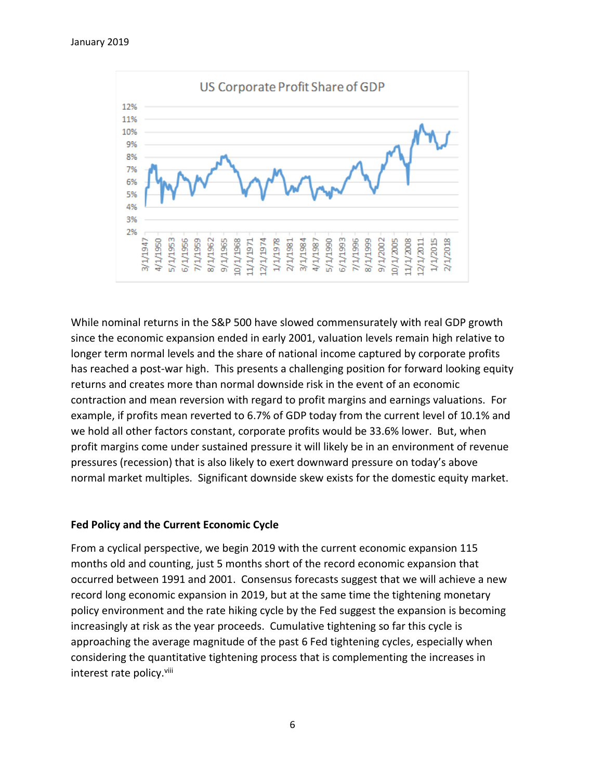

While nominal returns in the S&P 500 have slowed commensurately with real GDP growth since the economic expansion ended in early 2001, valuation levels remain high relative to longer term normal levels and the share of national income captured by corporate profits has reached a post-war high. This presents a challenging position for forward looking equity returns and creates more than normal downside risk in the event of an economic contraction and mean reversion with regard to profit margins and earnings valuations. For example, if profits mean reverted to 6.7% of GDP today from the current level of 10.1% and we hold all other factors constant, corporate profits would be 33.6% lower. But, when profit margins come under sustained pressure it will likely be in an environment of revenue pressures (recession) that is also likely to exert downward pressure on today's above normal market multiples. Significant downside skew exists for the domestic equity market.

#### **Fed Policy and the Current Economic Cycle**

From a cyclical perspective, we begin 2019 with the current economic expansion 115 months old and counting, just 5 months short of the record economic expansion that occurred between 1991 and 2001. Consensus forecasts suggest that we will achieve a new record long economic expansion in 2019, but at the same time the tightening monetary policy environment and the rate hiking cycle by the Fed suggest the expansion is becoming increasingly at risk as the year proceeds. Cumulative tightening so far this cycle is approaching the average magnitude of the past 6 Fed tightening cycles, especially when considering the quantitative tightening process that is complementing the increases in interest rate policy.<sup>viii</sup>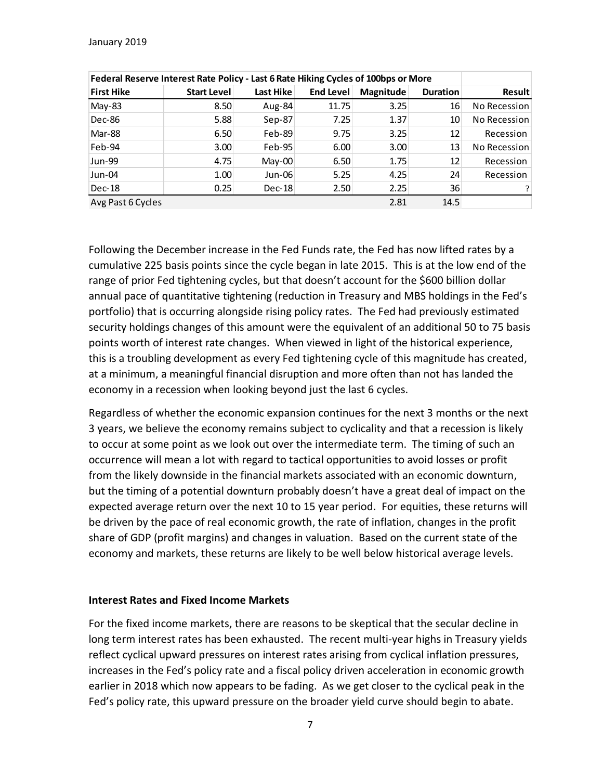| Federal Reserve Interest Rate Policy - Last 6 Rate Hiking Cycles of 100bps or More |                    |           |                  |           |                 |               |
|------------------------------------------------------------------------------------|--------------------|-----------|------------------|-----------|-----------------|---------------|
| <b>First Hike</b>                                                                  | <b>Start Level</b> | Last Hike | <b>End Level</b> | Magnitude | <b>Duration</b> | <b>Result</b> |
| May-83                                                                             | 8.50               | Aug-84    | 11.75            | 3.25      | 16              | No Recession  |
| Dec-86                                                                             | 5.88               | Sep-87    | 7.25             | 1.37      | 10              | No Recession  |
| Mar-88                                                                             | 6.50               | Feb-89    | 9.75             | 3.25      | 12              | Recession     |
| Feb-94                                                                             | 3.00               | Feb-95    | 6.00             | 3.00      | 13              | No Recession  |
| Jun-99                                                                             | 4.75               | $May-00$  | 6.50             | 1.75      | 12              | Recession     |
| Jun-04                                                                             | 1.00               | Jun-06    | 5.25             | 4.25      | 24              | Recession     |
| Dec-18                                                                             | 0.25               | $Dec-18$  | 2.50             | 2.25      | 36              |               |
| Avg Past 6 Cycles                                                                  |                    |           |                  | 2.81      | 14.5            |               |

Following the December increase in the Fed Funds rate, the Fed has now lifted rates by a cumulative 225 basis points since the cycle began in late 2015. This is at the low end of the range of prior Fed tightening cycles, but that doesn't account for the \$600 billion dollar annual pace of quantitative tightening (reduction in Treasury and MBS holdings in the Fed's portfolio) that is occurring alongside rising policy rates. The Fed had previously estimated security holdings changes of this amount were the equivalent of an additional 50 to 75 basis points worth of interest rate changes. When viewed in light of the historical experience, this is a troubling development as every Fed tightening cycle of this magnitude has created, at a minimum, a meaningful financial disruption and more often than not has landed the economy in a recession when looking beyond just the last 6 cycles.

Regardless of whether the economic expansion continues for the next 3 months or the next 3 years, we believe the economy remains subject to cyclicality and that a recession is likely to occur at some point as we look out over the intermediate term. The timing of such an occurrence will mean a lot with regard to tactical opportunities to avoid losses or profit from the likely downside in the financial markets associated with an economic downturn, but the timing of a potential downturn probably doesn't have a great deal of impact on the expected average return over the next 10 to 15 year period. For equities, these returns will be driven by the pace of real economic growth, the rate of inflation, changes in the profit share of GDP (profit margins) and changes in valuation. Based on the current state of the economy and markets, these returns are likely to be well below historical average levels.

#### **Interest Rates and Fixed Income Markets**

For the fixed income markets, there are reasons to be skeptical that the secular decline in long term interest rates has been exhausted. The recent multi-year highs in Treasury yields reflect cyclical upward pressures on interest rates arising from cyclical inflation pressures, increases in the Fed's policy rate and a fiscal policy driven acceleration in economic growth earlier in 2018 which now appears to be fading. As we get closer to the cyclical peak in the Fed's policy rate, this upward pressure on the broader yield curve should begin to abate.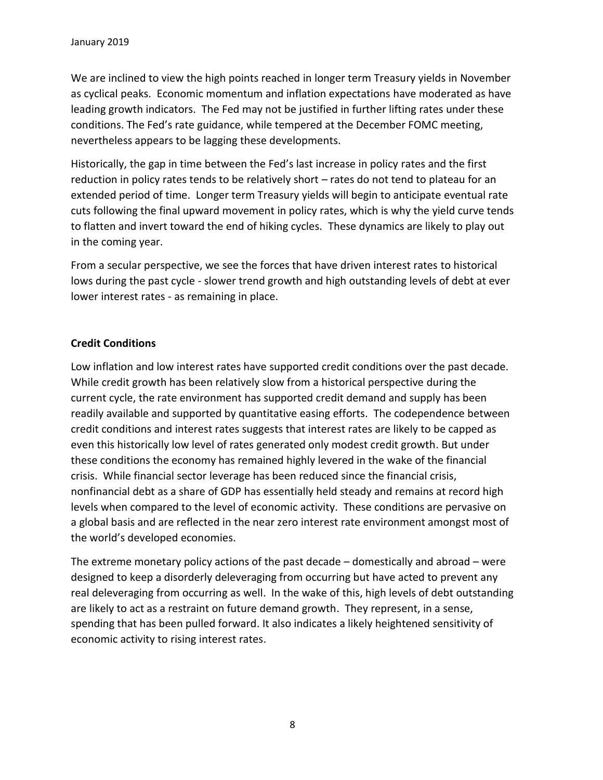We are inclined to view the high points reached in longer term Treasury yields in November as cyclical peaks. Economic momentum and inflation expectations have moderated as have leading growth indicators. The Fed may not be justified in further lifting rates under these conditions. The Fed's rate guidance, while tempered at the December FOMC meeting, nevertheless appears to be lagging these developments.

Historically, the gap in time between the Fed's last increase in policy rates and the first reduction in policy rates tends to be relatively short – rates do not tend to plateau for an extended period of time. Longer term Treasury yields will begin to anticipate eventual rate cuts following the final upward movement in policy rates, which is why the yield curve tends to flatten and invert toward the end of hiking cycles. These dynamics are likely to play out in the coming year.

From a secular perspective, we see the forces that have driven interest rates to historical lows during the past cycle - slower trend growth and high outstanding levels of debt at ever lower interest rates - as remaining in place.

## **Credit Conditions**

Low inflation and low interest rates have supported credit conditions over the past decade. While credit growth has been relatively slow from a historical perspective during the current cycle, the rate environment has supported credit demand and supply has been readily available and supported by quantitative easing efforts. The codependence between credit conditions and interest rates suggests that interest rates are likely to be capped as even this historically low level of rates generated only modest credit growth. But under these conditions the economy has remained highly levered in the wake of the financial crisis. While financial sector leverage has been reduced since the financial crisis, nonfinancial debt as a share of GDP has essentially held steady and remains at record high levels when compared to the level of economic activity. These conditions are pervasive on a global basis and are reflected in the near zero interest rate environment amongst most of the world's developed economies.

The extreme monetary policy actions of the past decade – domestically and abroad – were designed to keep a disorderly deleveraging from occurring but have acted to prevent any real deleveraging from occurring as well. In the wake of this, high levels of debt outstanding are likely to act as a restraint on future demand growth. They represent, in a sense, spending that has been pulled forward. It also indicates a likely heightened sensitivity of economic activity to rising interest rates.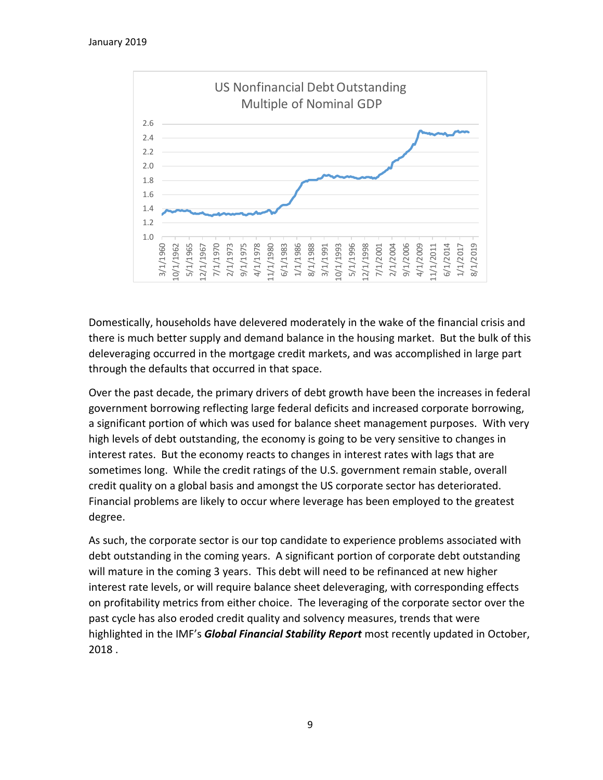

Domestically, households have delevered moderately in the wake of the financial crisis and there is much better supply and demand balance in the housing market. But the bulk of this deleveraging occurred in the mortgage credit markets, and was accomplished in large part through the defaults that occurred in that space.

Over the past decade, the primary drivers of debt growth have been the increases in federal government borrowing reflecting large federal deficits and increased corporate borrowing, a significant portion of which was used for balance sheet management purposes. With very high levels of debt outstanding, the economy is going to be very sensitive to changes in interest rates. But the economy reacts to changes in interest rates with lags that are sometimes long. While the credit ratings of the U.S. government remain stable, overall credit quality on a global basis and amongst the US corporate sector has deteriorated. Financial problems are likely to occur where leverage has been employed to the greatest degree.

As such, the corporate sector is our top candidate to experience problems associated with debt outstanding in the coming years. A significant portion of corporate debt outstanding will mature in the coming 3 years. This debt will need to be refinanced at new higher interest rate levels, or will require balance sheet deleveraging, with corresponding effects on profitability metrics from either choice. The leveraging of the corporate sector over the past cycle has also eroded credit quality and solvency measures, trends that were highlighted in the IMF's *Global Financial Stability Report* most recently updated in October, 2018 .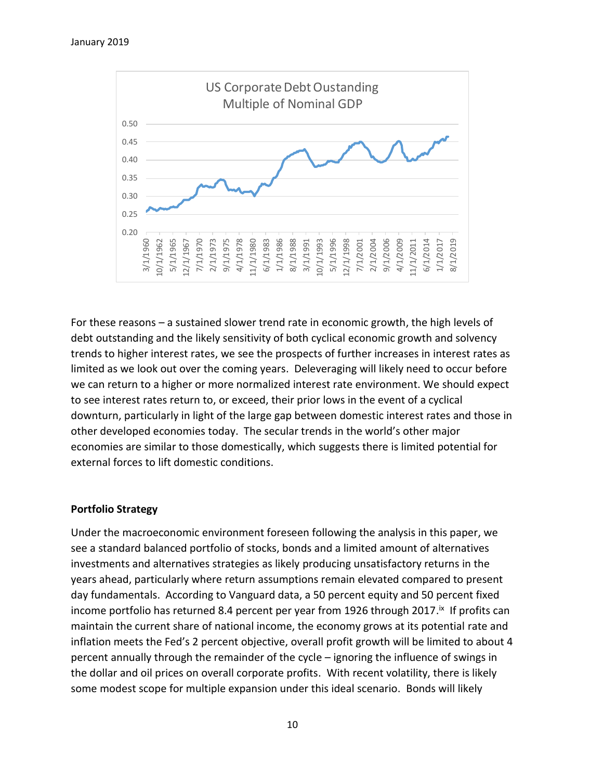

For these reasons – a sustained slower trend rate in economic growth, the high levels of debt outstanding and the likely sensitivity of both cyclical economic growth and solvency trends to higher interest rates, we see the prospects of further increases in interest rates as limited as we look out over the coming years. Deleveraging will likely need to occur before we can return to a higher or more normalized interest rate environment. We should expect to see interest rates return to, or exceed, their prior lows in the event of a cyclical downturn, particularly in light of the large gap between domestic interest rates and those in other developed economies today. The secular trends in the world's other major economies are similar to those domestically, which suggests there is limited potential for external forces to lift domestic conditions.

#### **Portfolio Strategy**

Under the macroeconomic environment foreseen following the analysis in this paper, we see a standard balanced portfolio of stocks, bonds and a limited amount of alternatives investments and alternatives strategies as likely producing unsatisfactory returns in the years ahead, particularly where return assumptions remain elevated compared to present day fundamentals. According to Vanguard data, a 50 percent equity and 50 percent fixed income portfolio has returned 8.4 percent per year from 1926 through 2017.<sup>ix</sup> If profits can maintain the current share of national income, the economy grows at its potential rate and inflation meets the Fed's 2 percent objective, overall profit growth will be limited to about 4 percent annually through the remainder of the cycle – ignoring the influence of swings in the dollar and oil prices on overall corporate profits. With recent volatility, there is likely some modest scope for multiple expansion under this ideal scenario. Bonds will likely